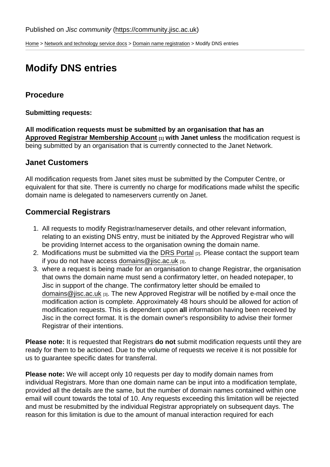[Home](https://community.jisc.ac.uk/) > [Network and technology service docs](https://community.jisc.ac.uk/library/janet-services-documentation) > [Domain name registration](https://community.jisc.ac.uk/library/janet-services-documentation/domain-name-registration) > Modify DNS entries

# Modify DNS entries

## **Procedure**

Submitting requests:

All modification requests must be submitted by an organisation that has an [Approved Registrar Membership Account](https://community.ja.net/library/janet-services-documentation/registrar-membership)  $\frac{1}{11}$  with Janet unless the modification request is being submitted by an organisation that is currently connected to the Janet Network.

### Janet Customers

All modification requests from Janet sites must be submitted by the Computer Centre, or equivalent for that site. There is currently no charge for modifications made whilst the specific domain name is delegated to nameservers currently on Janet.

## Commercial Registrars

- 1. All requests to modify Registrar/nameserver details, and other relevant information, relating to an existing DNS entry, must be initiated by the Approved Registrar who will be providing Internet access to the organisation owning the domain name.
- 2. Modifications must be submitted via the [DRS Portal](https://domainregistry.jisc.ac.uk/dns/Account/Login.aspx) [2]. Please contact the support team if you do not have access domains @ jisc.ac.uk [3].
- 3. where a request is being made for an organisation to change Registrar, the organisation that owns the domain name must send a confirmatory letter, on headed notepaper, to Jisc in support of the change. The confirmatory letter should be emailed to [domains@jisc.ac.uk](mailto:domains@jisc.ac.uk) [3]. The new Approved Registrar will be notified by e-mail once the modification action is complete. Approximately 48 hours should be allowed for action of modification requests. This is dependent upon all information having been received by Jisc in the correct format. It is the domain owner's responsibility to advise their former Registrar of their intentions.

Please note: It is requested that Registrars do not submit modification requests until they are ready for them to be actioned. Due to the volume of requests we receive it is not possible for us to guarantee specific dates for transferral.

Please note: We will accept only 10 requests per day to modify domain names from individual Registrars. More than one domain name can be input into a modification template, provided all the details are the same, but the number of domain names contained within one email will count towards the total of 10. Any requests exceeding this limitation will be rejected and must be resubmitted by the individual Registrar appropriately on subsequent days. The reason for this limitation is due to the amount of manual interaction required for each